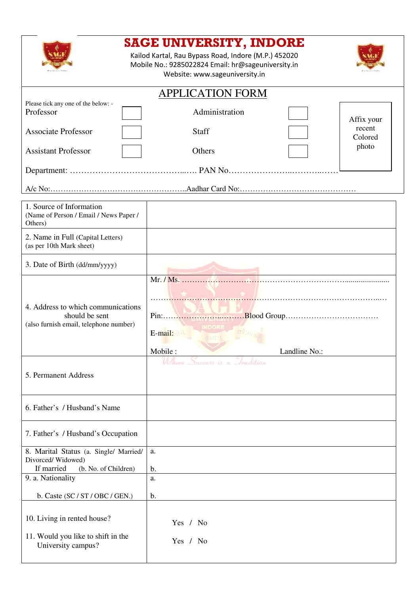|                                                                                                | <b>SAGE UNIVERSITY, INDORE</b><br>Kailod Kartal, Rau Bypass Road, Indore (M.P.) 452020<br>Mobile No.: 9285022824 Email: hr@sageuniversity.in<br>Website: www.sageuniversity.in |
|------------------------------------------------------------------------------------------------|--------------------------------------------------------------------------------------------------------------------------------------------------------------------------------|
|                                                                                                | <b>APPLICATION FORM</b>                                                                                                                                                        |
| Please tick any one of the below: -<br>Professor                                               | Administration<br>Affix your                                                                                                                                                   |
| <b>Associate Professor</b>                                                                     | recent<br><b>Staff</b><br>Colored                                                                                                                                              |
| <b>Assistant Professor</b>                                                                     | photo<br>Others                                                                                                                                                                |
|                                                                                                |                                                                                                                                                                                |
|                                                                                                |                                                                                                                                                                                |
| 1. Source of Information<br>(Name of Person / Email / News Paper /<br>Others)                  |                                                                                                                                                                                |
| 2. Name in Full (Capital Letters)<br>(as per 10th Mark sheet)                                  |                                                                                                                                                                                |
| 3. Date of Birth (dd/mm/yyyy)                                                                  |                                                                                                                                                                                |
| 4. Address to which communications<br>should be sent<br>(also furnish email, telephone number) | E-mail:<br>Mobile:<br>Landline No.:<br>- Jeadilion<br>Ul /hare<br>Daccess is a                                                                                                 |
| 5. Permanent Address                                                                           |                                                                                                                                                                                |
| 6. Father's / Husband's Name                                                                   |                                                                                                                                                                                |
| 7. Father's / Husband's Occupation                                                             |                                                                                                                                                                                |
| 8. Marital Status (a. Single/ Married/<br>Divorced/Widowed)                                    | a.                                                                                                                                                                             |
| If married<br>(b. No. of Children)<br>9. a. Nationality                                        | b.<br>a.                                                                                                                                                                       |
| b. Caste $(SC / ST / OBC / GEN.)$                                                              | b.                                                                                                                                                                             |
| 10. Living in rented house?<br>11. Would you like to shift in the<br>University campus?        | Yes / No<br>Yes / No                                                                                                                                                           |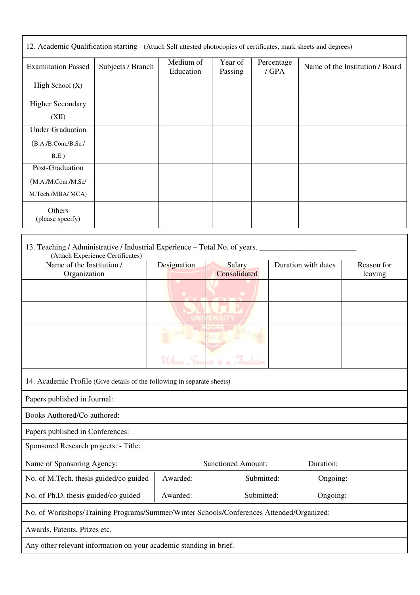| 12. Academic Qualification starting - (Attach Self attested photocopies of certificates, mark sheets and degrees) |                   |                        |                    |                     |                                 |  |
|-------------------------------------------------------------------------------------------------------------------|-------------------|------------------------|--------------------|---------------------|---------------------------------|--|
| <b>Examination Passed</b>                                                                                         | Subjects / Branch | Medium of<br>Education | Year of<br>Passing | Percentage<br>/ GPA | Name of the Institution / Board |  |
| High School $(X)$                                                                                                 |                   |                        |                    |                     |                                 |  |
| <b>Higher Secondary</b>                                                                                           |                   |                        |                    |                     |                                 |  |
| (XII)                                                                                                             |                   |                        |                    |                     |                                 |  |
| <b>Under Graduation</b>                                                                                           |                   |                        |                    |                     |                                 |  |
| (B.A./B.Com./B.Sc./                                                                                               |                   |                        |                    |                     |                                 |  |
| B.E.)                                                                                                             |                   |                        |                    |                     |                                 |  |
| Post-Graduation                                                                                                   |                   |                        |                    |                     |                                 |  |
| (M.A./M.Com./M.Sc/                                                                                                |                   |                        |                    |                     |                                 |  |
| M.Tech./MBA/ MCA)                                                                                                 |                   |                        |                    |                     |                                 |  |
| Others<br>(please specify)                                                                                        |                   |                        |                    |                     |                                 |  |
|                                                                                                                   |                   |                        |                    |                     |                                 |  |

| 13. Teaching / Administrative / Industrial Experience - Total No. of years.<br>(Attach Experience Certificates) |             |                               |                     |                       |
|-----------------------------------------------------------------------------------------------------------------|-------------|-------------------------------|---------------------|-----------------------|
| Name of the Institution /<br>Organization                                                                       | Designation | <b>Salary</b><br>Consolidated | Duration with dates | Reason for<br>leaving |
|                                                                                                                 |             |                               |                     |                       |
|                                                                                                                 |             |                               |                     |                       |
|                                                                                                                 |             |                               |                     |                       |
|                                                                                                                 |             | <b>Tradition</b><br>68        |                     |                       |
| 14. Academic Profile (Give details of the following in separate sheets)                                         |             |                               |                     |                       |
| Papers published in Journal:                                                                                    |             |                               |                     |                       |
| Books Authored/Co-authored:                                                                                     |             |                               |                     |                       |
| Papers published in Conferences:                                                                                |             |                               |                     |                       |
| Sponsored Research projects: - Title:                                                                           |             |                               |                     |                       |
| Name of Sponsoring Agency:                                                                                      |             | <b>Sanctioned Amount:</b>     | Duration:           |                       |
| No. of M.Tech. thesis guided/co guided                                                                          | Awarded:    | Submitted:                    | Ongoing:            |                       |
| No. of Ph.D. thesis guided/co guided                                                                            | Awarded:    | Submitted:                    | Ongoing:            |                       |
| No. of Workshops/Training Programs/Summer/Winter Schools/Conferences Attended/Organized:                        |             |                               |                     |                       |
| Awards, Patents, Prizes etc.                                                                                    |             |                               |                     |                       |
| Any other relevant information on your academic standing in brief.                                              |             |                               |                     |                       |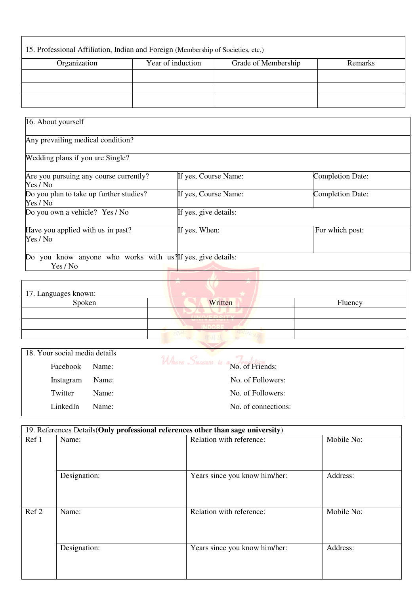| 15. Professional Affiliation, Indian and Foreign (Membership of Societies, etc.) |                   |                     |         |  |
|----------------------------------------------------------------------------------|-------------------|---------------------|---------|--|
| Organization                                                                     | Year of induction | Grade of Membership | Remarks |  |
|                                                                                  |                   |                     |         |  |
|                                                                                  |                   |                     |         |  |
|                                                                                  |                   |                     |         |  |

| 16. About yourself                                                      |                       |                         |
|-------------------------------------------------------------------------|-----------------------|-------------------------|
| Any prevailing medical condition?                                       |                       |                         |
| Wedding plans if you are Single?                                        |                       |                         |
| Are you pursuing any course currently?<br>Yes / No                      | If yes, Course Name:  | <b>Completion Date:</b> |
| Do you plan to take up further studies?<br>Yes / No                     | If yes, Course Name:  | <b>Completion Date:</b> |
| Do you own a vehicle? Yes / No                                          | If yes, give details: |                         |
| Have you applied with us in past?<br>Yes / No                           | If yes, When:         | For which post:         |
| Do you know anyone who works with us? If yes, give details:<br>Yes / No |                       |                         |

| 17. Languages known: |         |         |
|----------------------|---------|---------|
| Spoken               | Written | Fluency |
|                      |         |         |
|                      |         |         |
|                      |         |         |

| 18. Your social media details |       |                                    |
|-------------------------------|-------|------------------------------------|
| Facebook                      | Name: | Where Success is a No. of Friends: |
| Instagram                     | Name: | No. of Followers:                  |
| Twitter                       | Name: | No. of Followers:                  |
| LinkedIn                      | Name: | No. of connections:                |

|       |              | 19. References Details(Only professional references other than sage university) |            |
|-------|--------------|---------------------------------------------------------------------------------|------------|
| Ref 1 | Name:        | Relation with reference:                                                        | Mobile No: |
|       | Designation: | Years since you know him/her:                                                   | Address:   |
| Ref 2 | Name:        | Relation with reference:                                                        | Mobile No: |
|       | Designation: | Years since you know him/her:                                                   | Address:   |